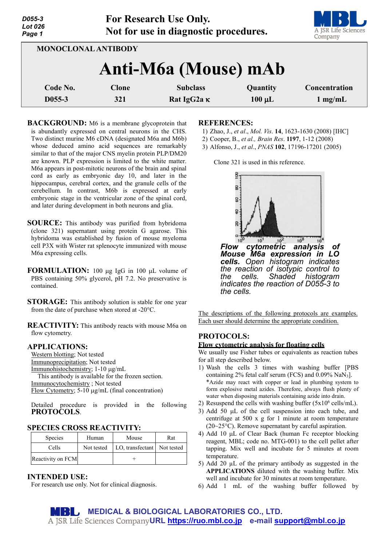| D055-3<br><b>Lot 026</b><br>Page 1 |                            | For Research Use Only.<br>Not for use in diagnostic procedures. |             | A JSR Life Sciences<br>Company |
|------------------------------------|----------------------------|-----------------------------------------------------------------|-------------|--------------------------------|
|                                    | <b>MONOCLONAL ANTIBODY</b> |                                                                 |             |                                |
|                                    |                            | Anti-M6a (Mouse) mAb                                            |             |                                |
| Code No.                           | <b>Clone</b>               | <b>Subclass</b>                                                 | Quantity    | <b>Concentration</b>           |
| D <sub>055</sub> -3                | 321                        | Rat IgG2a K                                                     | $100 \mu L$ | $1$ mg/mL                      |

**BACKGROUND:** M6 is a membrane glycoprotein that is abundantly expressed on central neurons in the CHS. Two distinct murine M6 cDNA (designated M6a and M6b) whose deduced amino acid sequences are remarkably similar to that of the major CNS myelin protein PLP/DM20 are known. PLP expression is limited to the white matter. M6a appears in post-mitotic neurons of the brain and spinal cord as early as embryonic day 10, and later in the hippocampus, cerebral cortex, and the granule cells of the cerebellum. In contrast, M6b is expressed at early embryonic stage in the ventricular zone of the spinal cord, and later during development in both neurons and glia.

- **SOURCE:** This antibody was purified from hybridoma (clone 321) supernatant using protein G agarose. This hybridoma was established by fusion of mouse myeloma cell P3X with Wister rat splenocyte immunized with mouse M6a expressing cells.
- **FORMULATION:** 100 µg IgG in 100 µL volume of PBS containing 50% glycerol, pH 7.2. No preservative is contained.
- **STORAGE:** This antibody solution is stable for one year from the date of purchase when stored at -20°C.

**REACTIVITY:** This antibody reacts with mouse M6a on flow cytometry.

# **APPLICATIONS:**

Western blotting; Not tested Immunoprecipitation; Not tested Immunohistochemistry; 1-10 µg/mL This antibody is available for the frozen section. Immunocytochemistry ; Not tested Flow Cytometry; 5-10 µg/mL (final concentration)

Detailed procedure is provided in the following **PROTOCOLS**.

#### **SPECIES CROSS REACTIVITY:**

| <b>Species</b>    | Human      | Mouse                         | Rat |
|-------------------|------------|-------------------------------|-----|
| Cells             | Not tested | LO, transfectant   Not tested |     |
| Reactivity on FCM |            |                               |     |

# **INTENDED USE:**

For research use only. Not for clinical diagnosis.

### **REFERENCES:**

- 1) Zhao, J., *et al*., *Mol. Vis*. **14**, 1623-1630 (2008) [IHC]
- 2) Cooper, B., *et al., Brain Res*. **1197**, 1-12 (2008)
- 3) Alfonso, J., *et al*., *PNAS* **102**, 17196-17201 (2005)

Clone 321 is used in this reference.



The descriptions of the following protocols are examples. Each user should determine the appropriate condition.

# **PROTOCOLS:**

*the cells.*

#### **Flow cytometric analysis for floating cells**

We usually use Fisher tubes or equivalents as reaction tubes for all step described below.

- 1) Wash the cells 3 times with washing buffer [PBS containing 2% fetal calf serum (FCS) and 0.09% NaN3]. \*Azide may react with copper or lead in plumbing system to form explosive metal azides. Therefore, always flush plenty of water when disposing materials containing azide into drain.
- 2) Resuspend the cells with washing buffer  $(5x10^6 \text{ cells/mL})$ .
- 3) Add 50 µL of the cell suspension into each tube, and centrifuge at 500 x g for 1 minute at room temperature (20~25°C). Remove supernatant by careful aspiration.
- 4) Add 10 µL of Clear Back (human Fc receptor blocking reagent, MBL; code no. MTG-001) to the cell pellet after tapping. Mix well and incubate for 5 minutes at room temperature.
- 5) Add 20 µL of the primary antibody as suggested in the **APPLICATIONS** diluted with the washing buffer. Mix well and incubate for 30 minutes at room temperature.
- 6) Add 1 mL of the washing buffer followed by